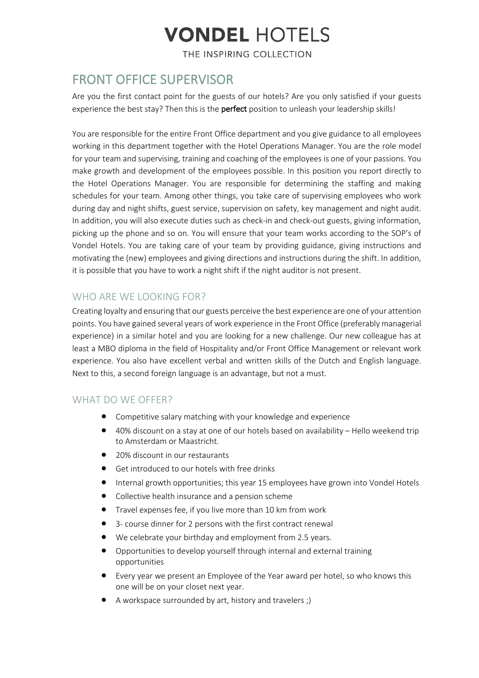# **VONDEL HOTELS**

THE INSPIRING COLLECTION

### FRONT OFFICE SUPERVISOR

Are you the first contact point for the guests of our hotels? Are you only satisfied if your guests experience the best stay? Then this is the **perfect** position to unleash your leadership skills!

You are responsible for the entire Front Office department and you give guidance to all employees working in this department together with the Hotel Operations Manager. You are the role model for your team and supervising, training and coaching of the employees is one of your passions. You make growth and development of the employees possible. In this position you report directly to the Hotel Operations Manager. You are responsible for determining the staffing and making schedules for your team. Among other things, you take care of supervising employees who work during day and night shifts, guest service, supervision on safety, key management and night audit. In addition, you will also execute duties such as check-in and check-out guests, giving information, picking up the phone and so on. You will ensure that your team works according to the SOP's of Vondel Hotels. You are taking care of your team by providing guidance, giving instructions and motivating the (new) employees and giving directions and instructions during the shift. In addition, it is possible that you have to work a night shift if the night auditor is not present.

### WHO ARE WE LOOKING FOR?

Creating loyalty and ensuring that our guests perceive the best experience are one of your attention points. You have gained several years of work experience in the Front Office (preferably managerial experience) in a similar hotel and you are looking for a new challenge. Our new colleague has at least a MBO diploma in the field of Hospitality and/or Front Office Management or relevant work experience. You also have excellent verbal and written skills of the Dutch and English language. Next to this, a second foreign language is an advantage, but not a must.

#### WHAT DO WE OFFER?

- Competitive salary matching with your knowledge and experience
- 40% discount on a stay at one of our hotels based on availability Hello weekend trip to Amsterdam or Maastricht.
- 20% discount in our restaurants
- Get introduced to our hotels with free drinks
- Internal growth opportunities; this year 15 employees have grown into Vondel Hotels
- Collective health insurance and a pension scheme
- Travel expenses fee, if you live more than 10 km from work
- 3- course dinner for 2 persons with the first contract renewal
- We celebrate your birthday and employment from 2.5 years.
- Opportunities to develop yourself through internal and external training opportunities
- Every year we present an Employee of the Year award per hotel, so who knows this one will be on your closet next year.
- A workspace surrounded by art, history and travelers ;)